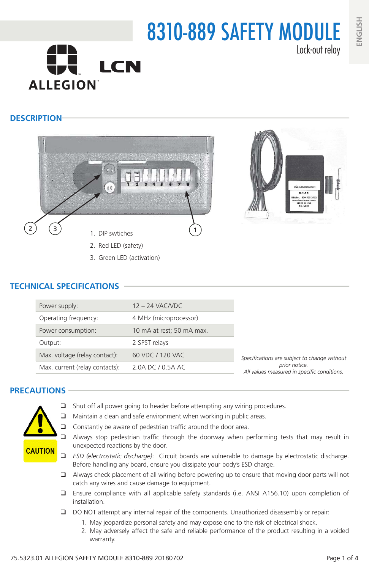# 8310-889 SAFETY MODULE Lock-out relay **LCN ALLEGION**

### **DESCRIPTION**





- - 3. Green LED (activation)

### **TECHNICAL SPECIFICATIONS**

| Power supply:                  | $12 - 24$ VAC/VDC         |                                                                                                              |  |
|--------------------------------|---------------------------|--------------------------------------------------------------------------------------------------------------|--|
| Operating frequency:           | 4 MHz (microprocessor)    |                                                                                                              |  |
| Power consumption:             | 10 mA at rest; 50 mA max. |                                                                                                              |  |
| Output:                        | 2 SPST relays             |                                                                                                              |  |
| Max. voltage (relay contact):  | 60 VDC / 120 VAC          | Specifications are subject to change without<br>prior notice.<br>All values measured in specific conditions. |  |
| Max. current (relay contacts): | 2.0A DC / 0.5A AC         |                                                                                                              |  |
|                                |                           |                                                                                                              |  |

### **PRECAUTIONS**



- $\Box$  Shut off all power going to header before attempting any wiring procedures.
- $\Box$  Maintain a clean and safe environment when working in public areas.
- $\Box$  Constantly be aware of pedestrian traffic around the door area.
- Always stop pedestrian traffic through the doorway when performing tests that may result in unexpected reactions by the door.
- *ESD (electrostatic discharge)*: Circuit boards are vulnerable to damage by electrostatic discharge. Before handling any board, ensure you dissipate your body's ESD charge.
- $\Box$  Always check placement of all wiring before powering up to ensure that moving door parts will not catch any wires and cause damage to equipment.
- Ensure compliance with all applicable safety standards (i.e. ANSI A156.10) upon completion of installation.
- DO NOT attempt any internal repair of the components. Unauthorized disassembly or repair:
	- 1. May jeopardize personal safety and may expose one to the risk of electrical shock.
	- 2. May adversely affect the safe and reliable performance of the product resulting in a voided warranty.

**ENGLISH**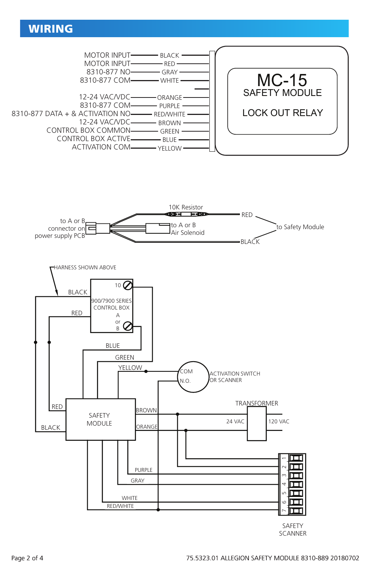# WIRING



**SCANNER**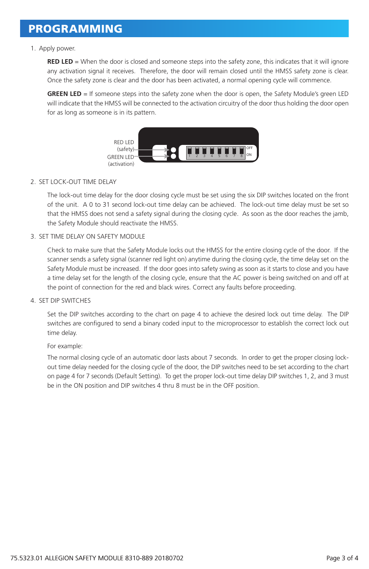## PROGRAMMING

#### 1. Apply power.

**RED LED** = When the door is closed and someone steps into the safety zone, this indicates that it will ignore any activation signal it receives. Therefore, the door will remain closed until the HMSS safety zone is clear. Once the safety zone is clear and the door has been activated, a normal opening cycle will commence.

**GREEN LED** = If someone steps into the safety zone when the door is open, the Safety Module's green LED will indicate that the HMSS will be connected to the activation circuitry of the door thus holding the door open for as long as someone is in its pattern.



#### 2. SET LOCK-OUT TIME DELAY

The lock-out time delay for the door closing cycle must be set using the six DIP switches located on the front of the unit. A 0 to 31 second lock-out time delay can be achieved. The lock-out time delay must be set so that the HMSS does not send a safety signal during the closing cycle. As soon as the door reaches the jamb, the Safety Module should reactivate the HMSS.

#### 3. SET TIME DELAY ON SAFETY MODULE

Check to make sure that the Safety Module locks out the HMSS for the entire closing cycle of the door. If the scanner sends a safety signal (scanner red light on) anytime during the closing cycle, the time delay set on the Safety Module must be increased. If the door goes into safety swing as soon as it starts to close and you have a time delay set for the length of the closing cycle, ensure that the AC power is being switched on and off at the point of connection for the red and black wires. Correct any faults before proceeding.

#### 4. SET DIP SWITCHES

Set the DIP switches according to the chart on page 4 to achieve the desired lock out time delay. The DIP switches are configured to send a binary coded input to the microprocessor to establish the correct lock out time delay.

#### For example:

The normal closing cycle of an automatic door lasts about 7 seconds. In order to get the proper closing lockout time delay needed for the closing cycle of the door, the DIP switches need to be set according to the chart on page 4 for 7 seconds (Default Setting). To get the proper lock-out time delay DIP switches 1, 2, and 3 must be in the ON position and DIP switches 4 thru 8 must be in the OFF position.